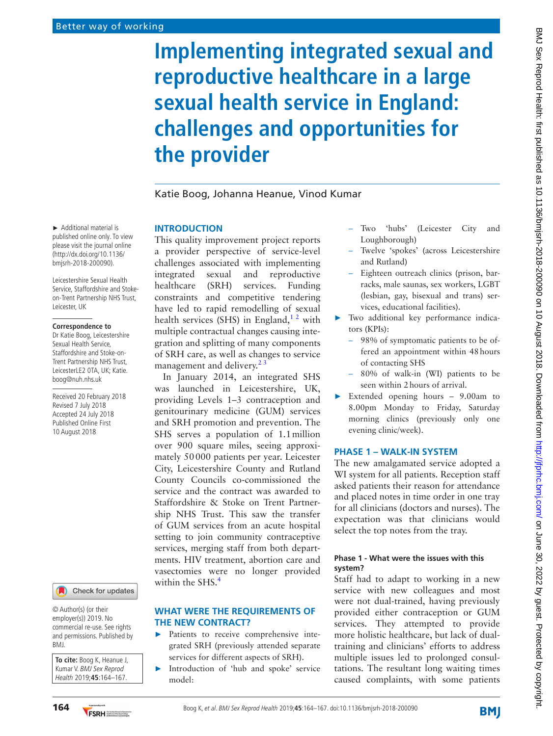# **Implementing integrated sexual and reproductive healthcare in a large sexual health service in England: challenges and opportunities for the provider**

## Katie Boog, Johanna Heanue, Vinod Kumar

#### **Introduction**

This quality improvement project reports a provider perspective of service-level challenges associated with implementing integrated sexual and reproductive healthcare (SRH) services. Funding constraints and competitive tendering have led to rapid remodelling of sexual health services (SHS) in England,<sup>12</sup> with multiple contractual changes causing integration and splitting of many components of SRH care, as well as changes to service management and delivery. $2<sup>3</sup>$ 

In January 2014, an integrated SHS was launched in Leicestershire, UK, providing Levels 1–3 contraception and genitourinary medicine (GUM) services and SRH promotion and prevention. The SHS serves a population of 1.1million over 900 square miles, seeing approximately 50000 patients per year. Leicester City, Leicestershire County and Rutland County Councils co-commissioned the service and the contract was awarded to Staffordshire & Stoke on Trent Partnership NHS Trust. This saw the transfer of GUM services from an acute hospital setting to join community contraceptive services, merging staff from both departments. HIV treatment, abortion care and vasectomies were no longer provided within the SHS.<sup>4</sup>

#### **What were the requirements of the new contract?**

- ► Patients to receive comprehensive integrated SRH (previously attended separate services for different aspects of SRH).
- ► Introduction of 'hub and spoke' service model:
- Two 'hubs' (Leicester City and Loughborough)
- Twelve 'spokes' (across Leicestershire and Rutland)
- Eighteen outreach clinics (prison, barracks, male saunas, sex workers, LGBT (lesbian, gay, bisexual and trans) services, educational facilities).
- ► Two additional key performance indicators (KPIs):
	- 98% of symptomatic patients to be offered an appointment within 48hours of contacting SHS
	- 80% of walk-in (WI) patients to be seen within 2hours of arrival.
- ► Extended opening hours 9.00am to 8.00pm Monday to Friday, Saturday morning clinics (previously only one evening clinic/week).

#### **Phase 1 – Walk-in system**

The new amalgamated service adopted a WI system for all patients. Reception staff asked patients their reason for attendance and placed notes in time order in one tray for all clinicians (doctors and nurses). The expectation was that clinicians would select the top notes from the tray.

#### **Phase 1 - What were the issues with this system?**

Staff had to adapt to working in a new service with new colleagues and most were not dual-trained, having previously provided either contraception or GUM services. They attempted to provide more holistic healthcare, but lack of dualtraining and clinicians' efforts to address multiple issues led to prolonged consultations. The resultant long waiting times caused complaints, with some patients

► Additional material is published online only. To view please visit the journal online (http://dx.doi.org/10.1136/ bmjsrh-2018-200090).

Leicestershire Sexual Health Service, Staffordshire and Stokeon-Trent Partnership NHS Trust, Leicester, UK

#### **Correspondence to**

Dr Katie Boog, Leicestershire Sexual Health Service, Staffordshire and Stoke-on-Trent Partnership NHS Trust, LeicesterLE2 0TA, UK; Katie. boog@nuh.nhs.uk

Received 20 February 2018 Revised 7 July 2018 Accepted 24 July 2018 Published Online First 10 August 2018



© Author(s) (or their employer(s)) 2019. No commercial re-use. See rights and permissions. Published by BMJ.

**To cite:** Boog K, Heanue J, Kumar V. BMJ Sex Reprod Health 2019;**45**:164–167.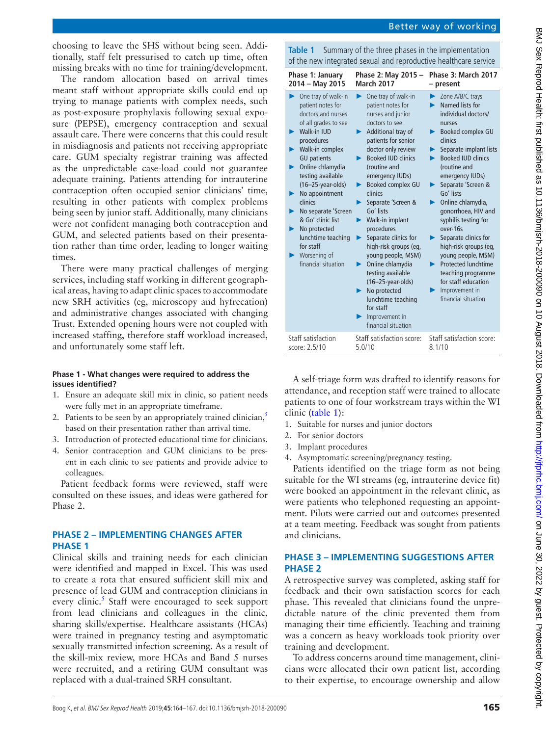choosing to leave the SHS without being seen. Additionally, staff felt pressurised to catch up time, often missing breaks with no time for training/development.

The random allocation based on arrival times meant staff without appropriate skills could end up trying to manage patients with complex needs, such as post-exposure prophylaxis following sexual exposure (PEPSE), emergency contraception and sexual assault care. There were concerns that this could result in misdiagnosis and patients not receiving appropriate care. GUM specialty registrar training was affected as the unpredictable case-load could not guarantee adequate training. Patients attending for intrauterine contraception often occupied senior clinicians' time, resulting in other patients with complex problems being seen by junior staff. Additionally, many clinicians were not confident managing both contraception and GUM, and selected patients based on their presentation rather than time order, leading to longer waiting times.

There were many practical challenges of merging services, including staff working in different geographical areas, having to adapt clinic spaces to accommodate new SRH activities (eg, microscopy and hyfrecation) and administrative changes associated with changing Trust. Extended opening hours were not coupled with increased staffing, therefore staff workload increased, and unfortunately some staff left.

### **Phase 1 - What changes were required to address the issues identified?**

- 1. Ensure an adequate skill mix in clinic, so patient needs were fully met in an appropriate timeframe.
- 2. Patients to be seen by an appropriately trained clinician,<sup>5</sup> based on their presentation rather than arrival time.
- 3. Introduction of protected educational time for clinicians.
- 4. Senior contraception and GUM clinicians to be present in each clinic to see patients and provide advice to colleagues.

Patient feedback forms were reviewed, staff were consulted on these issues, and ideas were gathered for Phase 2.

# **Phase 2 – Implementing changes after Phase 1**

Clinical skills and training needs for each clinician were identified and mapped in Excel. This was used to create a rota that ensured sufficient skill mix and presence of lead GUM and contraception clinicians in every clinic.<sup>5</sup> Staff were encouraged to seek support from lead clinicians and colleagues in the clinic, sharing skills/expertise. Healthcare assistants (HCAs) were trained in pregnancy testing and asymptomatic sexually transmitted infection screening. As a result of the skill-mix review, more HCAs and Band 5 nurses were recruited, and a retiring GUM consultant was

<span id="page-1-0"></span>

| <b>Table 1</b> Summary of the three phases in the implementation |
|------------------------------------------------------------------|
| of the new integrated sexual and reproductive healthcare service |

| Phase 1: January                                                                                                                                                                                                                                                                                                                                                                                           | Phase 2: May 2015 -                                                                                                                                                                                                                                                                                                                                                                                                                                                                                                                                                                           | Phase 3: March 2017                                                                                                                                                                                                                                                                                                                                                                                                                                                                                                     |
|------------------------------------------------------------------------------------------------------------------------------------------------------------------------------------------------------------------------------------------------------------------------------------------------------------------------------------------------------------------------------------------------------------|-----------------------------------------------------------------------------------------------------------------------------------------------------------------------------------------------------------------------------------------------------------------------------------------------------------------------------------------------------------------------------------------------------------------------------------------------------------------------------------------------------------------------------------------------------------------------------------------------|-------------------------------------------------------------------------------------------------------------------------------------------------------------------------------------------------------------------------------------------------------------------------------------------------------------------------------------------------------------------------------------------------------------------------------------------------------------------------------------------------------------------------|
| 2014 - May 2015                                                                                                                                                                                                                                                                                                                                                                                            | <b>March 2017</b>                                                                                                                                                                                                                                                                                                                                                                                                                                                                                                                                                                             | - present                                                                                                                                                                                                                                                                                                                                                                                                                                                                                                               |
| One tray of walk-in<br>patient notes for<br>doctors and nurses<br>of all grades to see<br>Walk-in IUD<br>procedures<br>Walk-in complex<br><b>GU</b> patients<br>Online chlamydia<br>▶<br>testing available<br>$(16-25$ -year-olds)<br>No appointment<br>▶<br>clinics<br>No separate 'Screen<br>& Go' clinic list<br>No protected<br>lunchtime teaching<br>for staff<br>Worsening of<br>financial situation | One tray of walk-in<br>▶<br>patient notes for<br>nurses and junior<br>doctors to see<br>Additional tray of<br>▶<br>patients for senior<br>doctor only review<br><b>Booked IUD clinics</b><br>(routine and<br>emergency IUDs)<br>Booked complex GU<br>▶<br>clinics<br>Separate 'Screen &<br>▶<br>Go' lists<br>Walk-in implant<br>▶<br>procedures<br>Separate clinics for<br>▶<br>high-risk groups (eg,<br>young people, MSM)<br>Online chlamydia<br>▶<br>testing available<br>$(16-25$ -year-olds)<br>No protected<br>lunchtime teaching<br>for staff<br>Improvement in<br>financial situation | Zone A/B/C trays<br>Named lists for<br>individual doctors/<br>nurses<br>Booked complex GU<br>▶<br>clinics<br>Separate implant lists<br><b>Booked IUD clinics</b><br>(routine and<br>emergency IUDs)<br>Separate 'Screen &<br>Go' lists<br>Online chlamydia,<br>gonorrhoea, HIV and<br>syphilis testing for<br>over-16s<br>Separate clinics for<br>▶.<br>high-risk groups (eg,<br>young people, MSM)<br><b>Protected lunchtime</b><br>teaching programme<br>for staff education<br>Improvement in<br>financial situation |
| Staff satisfaction                                                                                                                                                                                                                                                                                                                                                                                         | Staff satisfaction score:                                                                                                                                                                                                                                                                                                                                                                                                                                                                                                                                                                     | Staff satisfaction score:                                                                                                                                                                                                                                                                                                                                                                                                                                                                                               |
| score: 2.5/10                                                                                                                                                                                                                                                                                                                                                                                              | 5.0/10                                                                                                                                                                                                                                                                                                                                                                                                                                                                                                                                                                                        | 8.1/10                                                                                                                                                                                                                                                                                                                                                                                                                                                                                                                  |

A self-triage form was drafted to identify reasons for attendance, and reception staff were trained to allocate patients to one of four workstream trays within the WI clinic ([table](#page-1-0) 1):

- 1. Suitable for nurses and junior doctors
- 2. For senior doctors
- 3. Implant procedures
- 4. Asymptomatic screening/pregnancy testing.

Patients identified on the triage form as not being suitable for the WI streams (eg, intrauterine device fit) were booked an appointment in the relevant clinic, as were patients who telephoned requesting an appointment. Pilots were carried out and outcomes presented at a team meeting. Feedback was sought from patients and clinicians.

# **Phase 3 – Implementing suggestions after Phase 2**

A retrospective survey was completed, asking staff for feedback and their own satisfaction scores for each phase. This revealed that clinicians found the unpredictable nature of the clinic prevented them from managing their time efficiently. Teaching and training was a concern as heavy workloads took priority over training and development.

To address concerns around time management, clinicians were allocated their own patient list, according to their expertise, to encourage ownership and allow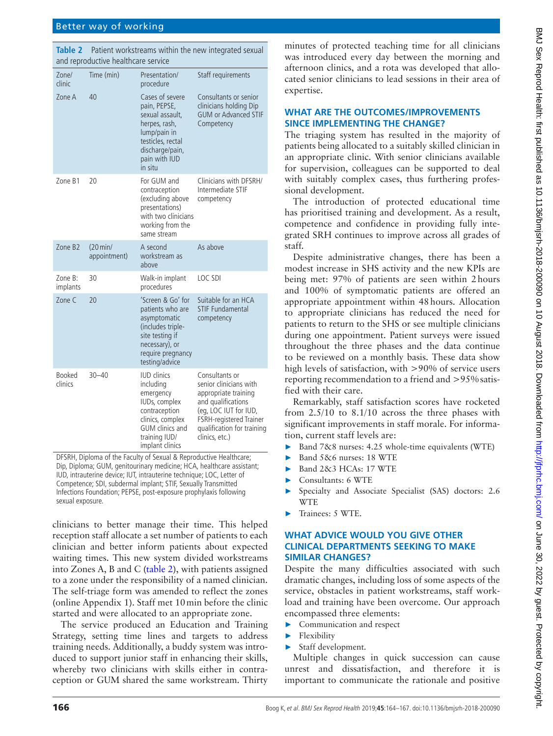## Better way of working

<span id="page-2-0"></span>**Table 2** Patient workstreams within the new integrated sexual and reproductive healthcare service

| Zone/<br>clinic     | Time (min)                        | Presentation/<br>procedure                                                                                                                                       | Staff requirements                                                                                                                                                                                |
|---------------------|-----------------------------------|------------------------------------------------------------------------------------------------------------------------------------------------------------------|---------------------------------------------------------------------------------------------------------------------------------------------------------------------------------------------------|
| Zone A              | 40                                | Cases of severe<br>pain, PEPSE,<br>sexual assault,<br>herpes, rash,<br>lump/pain in<br>testicles, rectal<br>discharge/pain,<br>pain with IUD<br>in situ          | Consultants or senior<br>clinicians holding Dip<br><b>GUM or Advanced STIF</b><br>Competency                                                                                                      |
| Zone B1             | 20                                | For GUM and<br>contraception<br>(excluding above<br>presentations)<br>with two clinicians<br>working from the<br>same stream                                     | Clinicians with DFSRH/<br>Intermediate STIF<br>competency                                                                                                                                         |
| Zone B <sub>2</sub> | $(20 \text{min/}$<br>appointment) | A second<br>workstream as<br>above                                                                                                                               | As above                                                                                                                                                                                          |
| Zone B:<br>implants | 30                                | Walk-in implant<br>procedures                                                                                                                                    | LOC SDI                                                                                                                                                                                           |
| 7 <sub>one</sub> C  | 20                                | 'Screen & Go' for<br>patients who are<br>asymptomatic<br>(includes triple-<br>site testing if<br>necessary), or<br>require pregnancy<br>testing/advice           | Suitable for an HCA<br><b>STIF Fundamental</b><br>competency                                                                                                                                      |
| Booked<br>clinics   | $30 - 40$                         | <b>IUD</b> clinics<br>including<br>emergency<br>IUDs, complex<br>contraception<br>clinics, complex<br><b>GUM</b> clinics and<br>training IUD/<br>implant clinics | Consultants or<br>senior clinicians with<br>appropriate training<br>and qualifications<br>(eq, LOC IUT for IUD,<br><b>FSRH-registered Trainer</b><br>qualification for training<br>clinics, etc.) |

DFSRH, Diploma of the Faculty of Sexual & Reproductive Healthcare; Dip, Diploma; GUM, genitourinary medicine; HCA, healthcare assistant; IUD, intrauterine device; IUT, intrauterine technique; LOC, Letter of Competence; SDI, subdermal implant; STIF, Sexually Transmitted Infections Foundation; PEPSE, post-exposure prophylaxis following sexual exposure.

clinicians to better manage their time. This helped reception staff allocate a set number of patients to each clinician and better inform patients about expected waiting times. This new system divided workstreams into Zones A, B and C ([table](#page-2-0) 2), with patients assigned to a zone under the responsibility of a named clinician. The self-triage form was amended to reflect the zones (online [Appendix 1](https://dx.doi.org/10.1136/bmjsrh-2018-200090)). Staff met 10min before the clinic started and were allocated to an appropriate zone.

The service produced an Education and Training Strategy, setting time lines and targets to address training needs. Additionally, a buddy system was introduced to support junior staff in enhancing their skills, whereby two clinicians with skills either in contraception or GUM shared the same workstream. Thirty

minutes of protected teaching time for all clinicians was introduced every day between the morning and afternoon clinics, and a rota was developed that allocated senior clinicians to lead sessions in their area of expertise.

#### **What are the outcomes/improvements since implementing the change?**

The triaging system has resulted in the majority of patients being allocated to a suitably skilled clinician in an appropriate clinic. With senior clinicians available for supervision, colleagues can be supported to deal with suitably complex cases, thus furthering professional development.

The introduction of protected educational time has prioritised training and development. As a result, competence and confidence in providing fully integrated SRH continues to improve across all grades of staff.

Despite administrative changes, there has been a modest increase in SHS activity and the new KPIs are being met: 97% of patients are seen within 2hours and 100% of symptomatic patients are offered an appropriate appointment within 48hours. Allocation to appropriate clinicians has reduced the need for patients to return to the SHS or see multiple clinicians during one appointment. Patient surveys were issued throughout the three phases and the data continue to be reviewed on a monthly basis. These data show high levels of satisfaction, with >90% of service users reporting recommendation to a friend and >95%satisfied with their care.

Remarkably, staff satisfaction scores have rocketed from 2.5/10 to 8.1/10 across the three phases with significant improvements in staff morale. For information, current staff levels are:

- ► Band 7&8 nurses: 4.25 whole-time equivalents (WTE)
- ► Band 5&6 nurses: 18 WTE
- ► Band 2&3 HCAs: 17 WTE
- ► Consultants: 6 WTE
- Specialty and Associate Specialist (SAS) doctors: 2.6 WTE
- ► Trainees: 5 WTE.

## **What advice would you give other clinical departments seeking to make similar changes?**

Despite the many difficulties associated with such dramatic changes, including loss of some aspects of the service, obstacles in patient workstreams, staff workload and training have been overcome. Our approach encompassed three elements:

- ► Communication and respect
- ► Flexibility
- Staff development.

Multiple changes in quick succession can cause unrest and dissatisfaction, and therefore it is important to communicate the rationale and positive